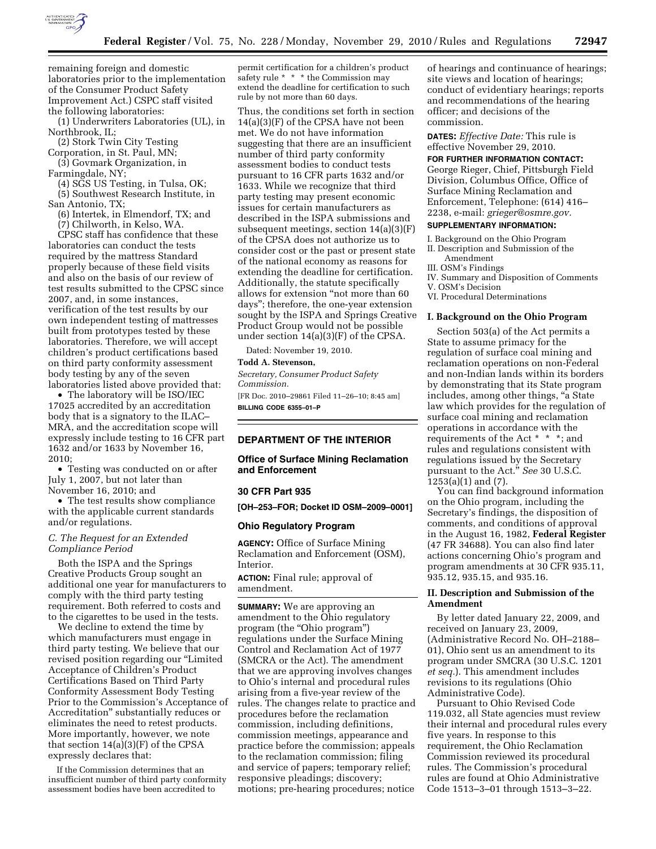

remaining foreign and domestic laboratories prior to the implementation of the Consumer Product Safety Improvement Act.) CSPC staff visited the following laboratories:

(1) Underwriters Laboratories (UL), in Northbrook, IL;

(2) Stork Twin City Testing

Corporation, in St. Paul, MN; (3) Govmark Organization, in

Farmingdale, NY;

(4) SGS US Testing, in Tulsa, OK; (5) Southwest Research Institute, in San Antonio, TX;

(6) Intertek, in Elmendorf, TX; and

(7) Chilworth, in Kelso, WA.

CPSC staff has confidence that these laboratories can conduct the tests required by the mattress Standard properly because of these field visits and also on the basis of our review of test results submitted to the CPSC since 2007, and, in some instances, verification of the test results by our own independent testing of mattresses built from prototypes tested by these laboratories. Therefore, we will accept children's product certifications based on third party conformity assessment body testing by any of the seven laboratories listed above provided that:

• The laboratory will be ISO/IEC 17025 accredited by an accreditation body that is a signatory to the ILAC– MRA, and the accreditation scope will expressly include testing to 16 CFR part 1632 and/or 1633 by November 16, 2010;

• Testing was conducted on or after July 1, 2007, but not later than November 16, 2010; and

• The test results show compliance with the applicable current standards and/or regulations.

## *C. The Request for an Extended Compliance Period*

Both the ISPA and the Springs Creative Products Group sought an additional one year for manufacturers to comply with the third party testing requirement. Both referred to costs and to the cigarettes to be used in the tests.

We decline to extend the time by which manufacturers must engage in third party testing. We believe that our revised position regarding our ''Limited Acceptance of Children's Product Certifications Based on Third Party Conformity Assessment Body Testing Prior to the Commission's Acceptance of Accreditation'' substantially reduces or eliminates the need to retest products. More importantly, however, we note that section 14(a)(3)(F) of the CPSA expressly declares that:

If the Commission determines that an insufficient number of third party conformity assessment bodies have been accredited to

permit certification for a children's product safety rule \* \* \* the Commission may extend the deadline for certification to such rule by not more than 60 days.

Thus, the conditions set forth in section 14(a)(3)(F) of the CPSA have not been met. We do not have information suggesting that there are an insufficient number of third party conformity assessment bodies to conduct tests pursuant to 16 CFR parts 1632 and/or 1633. While we recognize that third party testing may present economic issues for certain manufacturers as described in the ISPA submissions and subsequent meetings, section 14(a)(3)(F) of the CPSA does not authorize us to consider cost or the past or present state of the national economy as reasons for extending the deadline for certification. Additionally, the statute specifically allows for extension ''not more than 60 days''; therefore, the one-year extension sought by the ISPA and Springs Creative Product Group would not be possible under section 14(a)(3)(F) of the CPSA.

Dated: November 19, 2010.

## **Todd A. Stevenson,**

*Secretary, Consumer Product Safety Commission.* 

[FR Doc. 2010–29861 Filed 11–26–10; 8:45 am] **BILLING CODE 6355–01–P** 

## **DEPARTMENT OF THE INTERIOR**

## **Office of Surface Mining Reclamation and Enforcement**

#### **30 CFR Part 935**

**[OH–253–FOR; Docket ID OSM–2009–0001]** 

### **Ohio Regulatory Program**

**AGENCY:** Office of Surface Mining Reclamation and Enforcement (OSM), Interior.

**ACTION:** Final rule; approval of amendment.

**SUMMARY:** We are approving an amendment to the Ohio regulatory program (the "Ohio program") regulations under the Surface Mining Control and Reclamation Act of 1977 (SMCRA or the Act). The amendment that we are approving involves changes to Ohio's internal and procedural rules arising from a five-year review of the rules. The changes relate to practice and procedures before the reclamation commission, including definitions, commission meetings, appearance and practice before the commission; appeals to the reclamation commission; filing and service of papers; temporary relief; responsive pleadings; discovery; motions; pre-hearing procedures; notice

of hearings and continuance of hearings; site views and location of hearings; conduct of evidentiary hearings; reports and recommendations of the hearing officer; and decisions of the commission.

**DATES:** *Effective Date:* This rule is effective November 29, 2010.

## **FOR FURTHER INFORMATION CONTACT:**

George Rieger, Chief, Pittsburgh Field Division, Columbus Office, Office of Surface Mining Reclamation and Enforcement, Telephone: (614) 416– 2238, e-mail: *[grieger@osmre.gov.](mailto:grieger@osmre.gov)* 

# **SUPPLEMENTARY INFORMATION:**

I. Background on the Ohio Program

- II. Description and Submission of the Amendment
- III. OSM's Findings
- IV. Summary and Disposition of Comments
- V. OSM's Decision
- VI. Procedural Determinations

### **I. Background on the Ohio Program**

Section 503(a) of the Act permits a State to assume primacy for the regulation of surface coal mining and reclamation operations on non-Federal and non-Indian lands within its borders by demonstrating that its State program includes, among other things, ''a State law which provides for the regulation of surface coal mining and reclamation operations in accordance with the requirements of the Act \* \* \*; and rules and regulations consistent with regulations issued by the Secretary pursuant to the Act.'' *See* 30 U.S.C.  $1253(a)(1)$  and  $(7)$ .

You can find background information on the Ohio program, including the Secretary's findings, the disposition of comments, and conditions of approval in the August 16, 1982, **Federal Register**  (47 FR 34688). You can also find later actions concerning Ohio's program and program amendments at 30 CFR 935.11, 935.12, 935.15, and 935.16.

## **II. Description and Submission of the Amendment**

By letter dated January 22, 2009, and received on January 23, 2009, (Administrative Record No. OH–2188– 01), Ohio sent us an amendment to its program under SMCRA (30 U.S.C. 1201 *et seq.*). This amendment includes revisions to its regulations (Ohio Administrative Code).

Pursuant to Ohio Revised Code 119.032, all State agencies must review their internal and procedural rules every five years. In response to this requirement, the Ohio Reclamation Commission reviewed its procedural rules. The Commission's procedural rules are found at Ohio Administrative Code 1513–3–01 through 1513–3–22.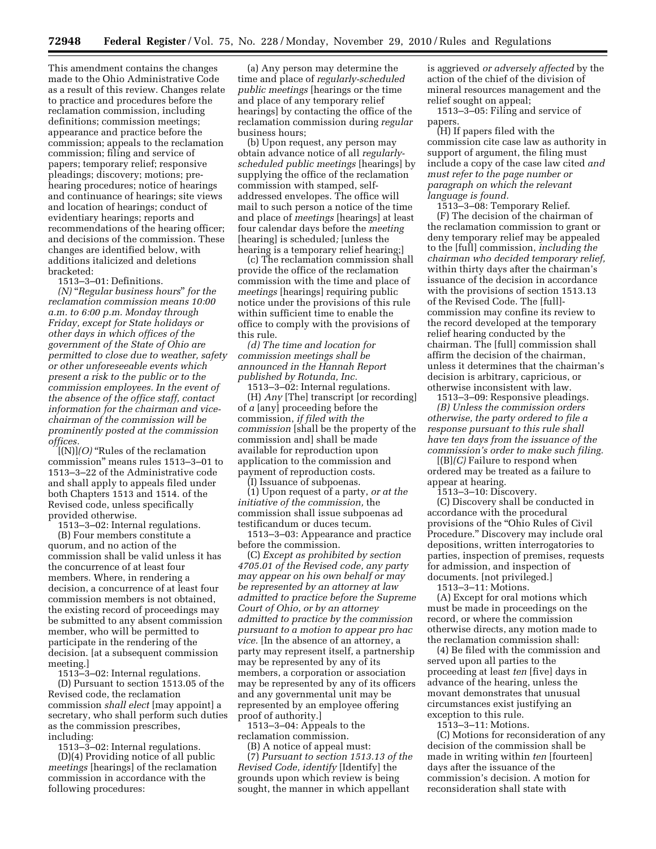This amendment contains the changes made to the Ohio Administrative Code as a result of this review. Changes relate to practice and procedures before the reclamation commission, including definitions; commission meetings; appearance and practice before the commission; appeals to the reclamation commission; filing and service of papers; temporary relief; responsive pleadings; discovery; motions; prehearing procedures; notice of hearings and continuance of hearings; site views and location of hearings; conduct of evidentiary hearings; reports and recommendations of the hearing officer; and decisions of the commission. These changes are identified below, with additions italicized and deletions bracketed:

1513–3–01: Definitions.

*(N)* ''*Regular business hours*'' *for the reclamation commission means 10:00 a.m. to 6:00 p.m. Monday through Friday, except for State holidays or other days in which offices of the government of the State of Ohio are permitted to close due to weather, safety or other unforeseeable events which present a risk to the public or to the commission employees. In the event of the absence of the office staff, contact information for the chairman and vicechairman of the commission will be prominently posted at the commission offices.* 

[(N)]*(O)* ''Rules of the reclamation commission'' means rules 1513–3–01 to 1513–3–22 of the Administrative code and shall apply to appeals filed under both Chapters 1513 and 1514. of the Revised code, unless specifically provided otherwise.

1513–3–02: Internal regulations.

(B) Four members constitute a quorum, and no action of the commission shall be valid unless it has the concurrence of at least four members. Where, in rendering a decision, a concurrence of at least four commission members is not obtained, the existing record of proceedings may be submitted to any absent commission member, who will be permitted to participate in the rendering of the decision. [at a subsequent commission meeting.]

1513–3–02: Internal regulations.

(D) Pursuant to section 1513.05 of the Revised code, the reclamation commission *shall elect* [may appoint] a secretary, who shall perform such duties as the commission prescribes, including:

1513–3–02: Internal regulations.

(D)(4) Providing notice of all public *meetings* [hearings] of the reclamation commission in accordance with the following procedures:

(a) Any person may determine the time and place of *regularly-scheduled public meetings* [hearings or the time and place of any temporary relief hearings] by contacting the office of the reclamation commission during *regular*  business hours;

(b) Upon request, any person may obtain advance notice of all *regularlyscheduled public meetings* [hearings] by supplying the office of the reclamation commission with stamped, selfaddressed envelopes. The office will mail to such person a notice of the time and place of *meetings* [hearings] at least four calendar days before the *meeting*  [hearing] is scheduled*;* [unless the hearing is a temporary relief hearing;]

(c) The reclamation commission shall provide the office of the reclamation commission with the time and place of *meetings* [hearings] requiring public notice under the provisions of this rule within sufficient time to enable the office to comply with the provisions of this rule.

*(d) The time and location for commission meetings shall be announced in the Hannah Report published by Rotunda, Inc.* 

1513–3–02: Internal regulations. (H) *Any* [The] transcript [or recording] of *a* [any] proceeding before the commission, *if filed with the commission* [shall be the property of the commission and] shall be made available for reproduction upon application to the commission and payment of reproduction costs.

(I) Issuance of subpoenas.

(1) Upon request of a party, *or at the initiative of the commission,* the commission shall issue subpoenas ad testificandum or duces tecum.

1513–3–03: Appearance and practice before the commission.

(C) *Except as prohibited by section 4705.01 of the Revised code, any party may appear on his own behalf or may be represented by an attorney at law admitted to practice before the Supreme Court of Ohio, or by an attorney admitted to practice by the commission pursuant to a motion to appear pro hac vice.* [In the absence of an attorney, a party may represent itself, a partnership may be represented by any of its members, a corporation or association may be represented by any of its officers and any governmental unit may be represented by an employee offering proof of authority.]

1513–3–04: Appeals to the reclamation commission.

(B) A notice of appeal must: (7) *Pursuant to section 1513.13 of the Revised Code, identify* [Identify] the grounds upon which review is being sought, the manner in which appellant

is aggrieved *or adversely affected* by the action of the chief of the division of mineral resources management and the relief sought on appeal;

1513–3–05: Filing and service of papers.

(H) If papers filed with the commission cite case law as authority in support of argument, the filing must include a copy of the case law cited *and must refer to the page number or paragraph on which the relevant language is found.* 

1513–3–08: Temporary Relief.

(F) The decision of the chairman of the reclamation commission to grant or deny temporary relief may be appealed to the [full] commission, *including the chairman who decided temporary relief,*  within thirty days after the chairman's issuance of the decision in accordance with the provisions of section 1513.13 of the Revised Code. The [full] commission may confine its review to the record developed at the temporary relief hearing conducted by the chairman. The [full] commission shall affirm the decision of the chairman, unless it determines that the chairman's decision is arbitrary, capricious, or otherwise inconsistent with law.

1513–3–09: Responsive pleadings. *(B) Unless the commission orders otherwise, the party ordered to file a response pursuant to this rule shall have ten days from the issuance of the commission's order to make such filing.* 

[(B]*(C)* Failure to respond when ordered may be treated as a failure to appear at hearing.

1513–3–10: Discovery.

(C) Discovery shall be conducted in accordance with the procedural provisions of the ''Ohio Rules of Civil Procedure.'' Discovery may include oral depositions, written interrogatories to parties, inspection of premises, requests for admission, and inspection of documents. [not privileged.]

1513–3–11: Motions.

(A) Except for oral motions which must be made in proceedings on the record, or where the commission otherwise directs, any motion made to the reclamation commission shall:

(4) Be filed with the commission and served upon all parties to the proceeding at least *ten* [five] days in advance of the hearing, unless the movant demonstrates that unusual circumstances exist justifying an exception to this rule.

1513–3–11: Motions.

(C) Motions for reconsideration of any decision of the commission shall be made in writing within *ten* [fourteen] days after the issuance of the commission's decision. A motion for reconsideration shall state with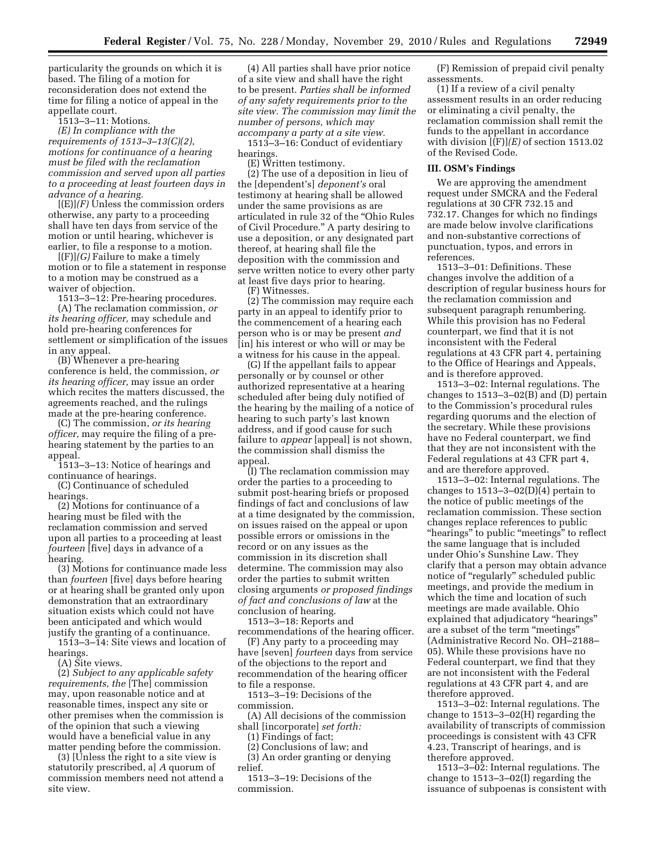particularity the grounds on which it is based. The filing of a motion for reconsideration does not extend the time for filing a notice of appeal in the appellate court.

1513–3–11: Motions.

*(E) In compliance with the requirements of 1513–3–13(C)(2), motions for continuance of a hearing must be filed with the reclamation commission and served upon all parties to a proceeding at least fourteen days in advance of a hearing.* 

 $[(E)](F)$  Unless the commission orders otherwise, any party to a proceeding shall have ten days from service of the motion or until hearing, whichever is earlier, to file a response to a motion.

[(F)]*(G)* Failure to make a timely motion or to file a statement in response to a motion may be construed as a waiver of objection.

1513–3–12: Pre-hearing procedures. (A) The reclamation commission, *or its hearing officer,* may schedule and hold pre-hearing conferences for settlement or simplification of the issues in any appeal.

(B) Whenever a pre-hearing conference is held, the commission, *or its hearing officer,* may issue an order which recites the matters discussed, the agreements reached, and the rulings made at the pre-hearing conference.

(C) The commission, *or its hearing officer,* may require the filing of a prehearing statement by the parties to an appeal.

1513–3–13: Notice of hearings and continuance of hearings.

(C) Continuance of scheduled hearings.

(2) Motions for continuance of a hearing must be filed with the reclamation commission and served upon all parties to a proceeding at least *fourteen* [five] days in advance of a hearing.

(3) Motions for continuance made less than *fourteen* [five] days before hearing or at hearing shall be granted only upon demonstration that an extraordinary situation exists which could not have been anticipated and which would justify the granting of a continuance.

1513–3–14: Site views and location of hearings.

(A) Site views.

(2) *Subject to any applicable safety requirements, the* [The] commission may, upon reasonable notice and at reasonable times, inspect any site or other premises when the commission is of the opinion that such a viewing would have a beneficial value in any matter pending before the commission.

(3) [Unless the right to a site view is statutorily prescribed, a] *A* quorum of commission members need not attend a site view.

(4) All parties shall have prior notice of a site view and shall have the right to be present. *Parties shall be informed of any safety requirements prior to the site view. The commission may limit the number of persons, which may accompany a party at a site view.*  1513–3–16: Conduct of evidentiary

hearings. (E) Written testimony.

(2) The use of a deposition in lieu of the [dependent's] *deponent's* oral testimony at hearing shall be allowed under the same provisions as are articulated in rule 32 of the ''Ohio Rules of Civil Procedure.'' A party desiring to use a deposition, or any designated part thereof, at hearing shall file the deposition with the commission and serve written notice to every other party at least five days prior to hearing.

(F) Witnesses.

(2) The commission may require each party in an appeal to identify prior to the commencement of a hearing each person who is or may be present *and*  [in] his interest or who will or may be a witness for his cause in the appeal.

(G) If the appellant fails to appear personally or by counsel or other authorized representative at a hearing scheduled after being duly notified of the hearing by the mailing of a notice of hearing to such party's last known address, and if good cause for such failure to *appear* [appeal] is not shown, the commission shall dismiss the appeal.

(I) The reclamation commission may order the parties to a proceeding to submit post-hearing briefs or proposed findings of fact and conclusions of law at a time designated by the commission, on issues raised on the appeal or upon possible errors or omissions in the record or on any issues as the commission in its discretion shall determine. The commission may also order the parties to submit written closing arguments *or proposed findings of fact and conclusions of law* at the conclusion of hearing.

1513–3–18: Reports and recommendations of the hearing officer.

(F) Any party to a proceeding may have [seven] *fourteen* days from service of the objections to the report and recommendation of the hearing officer to file a response.

1513–3–19: Decisions of the commission.

(A) All decisions of the commission shall [incorporate] *set forth:* 

(1) Findings of fact;

(2) Conclusions of law; and

(3) An order granting or denying relief.

1513–3–19: Decisions of the commission.

(F) Remission of prepaid civil penalty assessments.

(1) If a review of a civil penalty assessment results in an order reducing or eliminating a civil penalty, the reclamation commission shall remit the funds to the appellant in accordance with division [(F)]*(E)* of section 1513.02 of the Revised Code.

### **III. OSM's Findings**

We are approving the amendment request under SMCRA and the Federal regulations at 30 CFR 732.15 and 732.17. Changes for which no findings are made below involve clarifications and non-substantive corrections of punctuation, typos, and errors in references.

1513–3–01: Definitions. These changes involve the addition of a description of regular business hours for the reclamation commission and subsequent paragraph renumbering. While this provision has no Federal counterpart, we find that it is not inconsistent with the Federal regulations at 43 CFR part 4, pertaining to the Office of Hearings and Appeals, and is therefore approved.

1513–3–02: Internal regulations. The changes to 1513–3–02(B) and (D) pertain to the Commission's procedural rules regarding quorums and the election of the secretary. While these provisions have no Federal counterpart, we find that they are not inconsistent with the Federal regulations at 43 CFR part 4, and are therefore approved.

1513–3–02: Internal regulations. The changes to 1513–3–02(D)(4) pertain to the notice of public meetings of the reclamation commission. These section changes replace references to public ''hearings'' to public ''meetings'' to reflect the same language that is included under Ohio's Sunshine Law. They clarify that a person may obtain advance notice of ''regularly'' scheduled public meetings, and provide the medium in which the time and location of such meetings are made available. Ohio explained that adjudicatory ''hearings'' are a subset of the term ''meetings'' (Administrative Record No. OH–2188– 05). While these provisions have no Federal counterpart, we find that they are not inconsistent with the Federal regulations at 43 CFR part 4, and are therefore approved.

1513–3–02: Internal regulations. The change to 1513–3–02(H) regarding the availability of transcripts of commission proceedings is consistent with 43 CFR 4.23, Transcript of hearings, and is therefore approved.

1513–3–02: Internal regulations. The change to 1513–3–02(I) regarding the issuance of subpoenas is consistent with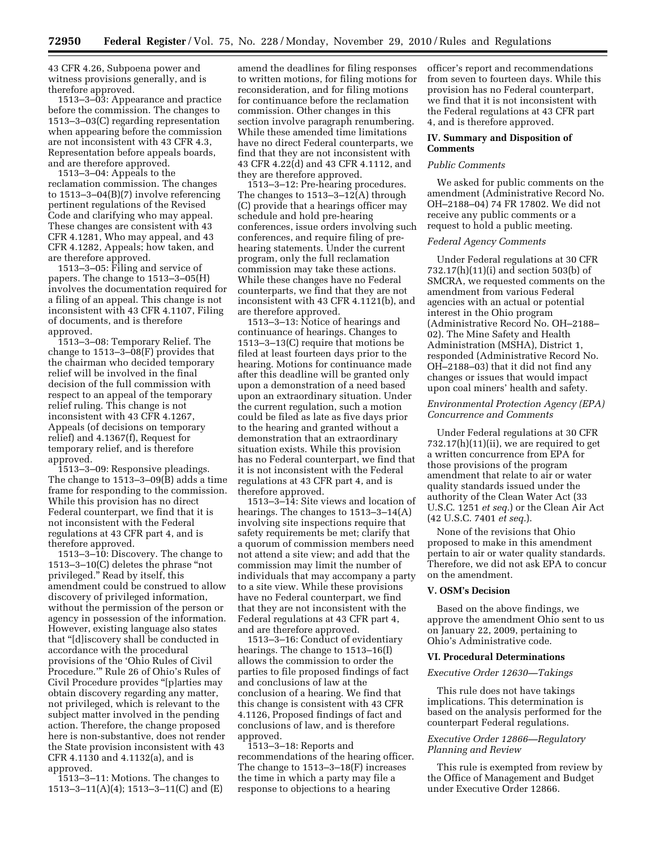43 CFR 4.26, Subpoena power and witness provisions generally, and is therefore approved.

1513–3–03: Appearance and practice before the commission. The changes to 1513–3–03(C) regarding representation when appearing before the commission are not inconsistent with 43 CFR 4.3, Representation before appeals boards, and are therefore approved.

1513–3–04: Appeals to the reclamation commission. The changes to 1513–3–04(B)(7) involve referencing pertinent regulations of the Revised Code and clarifying who may appeal. These changes are consistent with 43 CFR 4.1281, Who may appeal, and 43 CFR 4.1282, Appeals; how taken, and are therefore approved.

1513–3–05: Filing and service of papers. The change to 1513–3–05(H) involves the documentation required for a filing of an appeal. This change is not inconsistent with 43 CFR 4.1107, Filing of documents, and is therefore approved.

1513–3–08: Temporary Relief. The change to 1513–3–08(F) provides that the chairman who decided temporary relief will be involved in the final decision of the full commission with respect to an appeal of the temporary relief ruling. This change is not inconsistent with 43 CFR 4.1267, Appeals (of decisions on temporary relief) and 4.1367(f), Request for temporary relief, and is therefore approved.

1513–3–09: Responsive pleadings. The change to 1513–3–09(B) adds a time frame for responding to the commission. While this provision has no direct Federal counterpart, we find that it is not inconsistent with the Federal regulations at 43 CFR part 4, and is therefore approved.

1513–3–10: Discovery. The change to 1513–3–10(C) deletes the phrase ''not privileged.'' Read by itself, this amendment could be construed to allow discovery of privileged information, without the permission of the person or agency in possession of the information. However, existing language also states that ''[d]iscovery shall be conducted in accordance with the procedural provisions of the 'Ohio Rules of Civil Procedure.''' Rule 26 of Ohio's Rules of Civil Procedure provides ''[p]arties may obtain discovery regarding any matter, not privileged, which is relevant to the subject matter involved in the pending action. Therefore, the change proposed here is non-substantive, does not render the State provision inconsistent with 43 CFR 4.1130 and 4.1132(a), and is approved.

1513–3–11: Motions. The changes to 1513–3–11(A)(4); 1513–3–11(C) and (E) amend the deadlines for filing responses to written motions, for filing motions for reconsideration, and for filing motions for continuance before the reclamation commission. Other changes in this section involve paragraph renumbering. While these amended time limitations have no direct Federal counterparts, we find that they are not inconsistent with 43 CFR 4.22(d) and 43 CFR 4.1112, and they are therefore approved.

1513–3–12: Pre-hearing procedures. The changes to 1513–3–12(A) through (C) provide that a hearings officer may schedule and hold pre-hearing conferences, issue orders involving such conferences, and require filing of prehearing statements. Under the current program, only the full reclamation commission may take these actions. While these changes have no Federal counterparts, we find that they are not inconsistent with 43 CFR 4.1121(b), and are therefore approved.

1513–3–13: Notice of hearings and continuance of hearings. Changes to 1513–3–13(C) require that motions be filed at least fourteen days prior to the hearing. Motions for continuance made after this deadline will be granted only upon a demonstration of a need based upon an extraordinary situation. Under the current regulation, such a motion could be filed as late as five days prior to the hearing and granted without a demonstration that an extraordinary situation exists. While this provision has no Federal counterpart, we find that it is not inconsistent with the Federal regulations at 43 CFR part 4, and is therefore approved.

1513–3–14: Site views and location of hearings. The changes to 1513–3–14(A) involving site inspections require that safety requirements be met; clarify that a quorum of commission members need not attend a site view; and add that the commission may limit the number of individuals that may accompany a party to a site view. While these provisions have no Federal counterpart, we find that they are not inconsistent with the Federal regulations at 43 CFR part 4, and are therefore approved.

1513–3–16: Conduct of evidentiary hearings. The change to 1513–16(I) allows the commission to order the parties to file proposed findings of fact and conclusions of law at the conclusion of a hearing. We find that this change is consistent with 43 CFR 4.1126, Proposed findings of fact and conclusions of law, and is therefore approved.

1513–3–18: Reports and recommendations of the hearing officer. The change to 1513–3–18(F) increases the time in which a party may file a response to objections to a hearing

officer's report and recommendations from seven to fourteen days. While this provision has no Federal counterpart, we find that it is not inconsistent with the Federal regulations at 43 CFR part 4, and is therefore approved.

## **IV. Summary and Disposition of Comments**

## *Public Comments*

We asked for public comments on the amendment (Administrative Record No. OH–2188–04) 74 FR 17802. We did not receive any public comments or a request to hold a public meeting.

#### *Federal Agency Comments*

Under Federal regulations at 30 CFR 732.17(h)(11)(i) and section 503(b) of SMCRA, we requested comments on the amendment from various Federal agencies with an actual or potential interest in the Ohio program (Administrative Record No. OH–2188– 02). The Mine Safety and Health Administration (MSHA), District 1, responded (Administrative Record No. OH–2188–03) that it did not find any changes or issues that would impact upon coal miners' health and safety.

### *Environmental Protection Agency (EPA) Concurrence and Comments*

Under Federal regulations at 30 CFR 732.17(h)(11)(ii), we are required to get a written concurrence from EPA for those provisions of the program amendment that relate to air or water quality standards issued under the authority of the Clean Water Act (33 U.S.C. 1251 *et seq.*) or the Clean Air Act (42 U.S.C. 7401 *et seq.*).

None of the revisions that Ohio proposed to make in this amendment pertain to air or water quality standards. Therefore, we did not ask EPA to concur on the amendment.

## **V. OSM's Decision**

Based on the above findings, we approve the amendment Ohio sent to us on January 22, 2009, pertaining to Ohio's Administrative code.

### **VI. Procedural Determinations**

### *Executive Order 12630—Takings*

This rule does not have takings implications. This determination is based on the analysis performed for the counterpart Federal regulations.

## *Executive Order 12866—Regulatory Planning and Review*

This rule is exempted from review by the Office of Management and Budget under Executive Order 12866.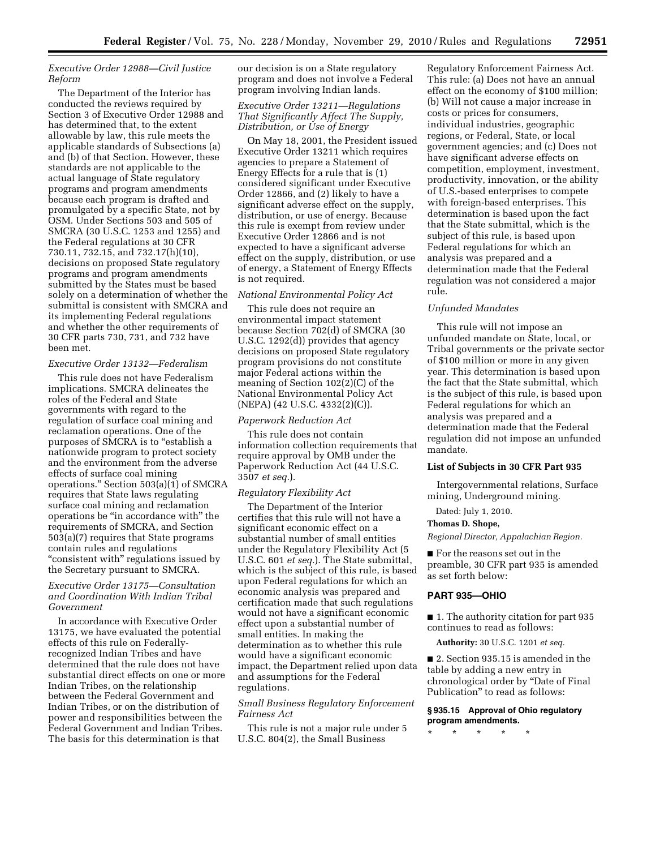## *Executive Order 12988—Civil Justice Reform*

The Department of the Interior has conducted the reviews required by Section 3 of Executive Order 12988 and has determined that, to the extent allowable by law, this rule meets the applicable standards of Subsections (a) and (b) of that Section. However, these standards are not applicable to the actual language of State regulatory programs and program amendments because each program is drafted and promulgated by a specific State, not by OSM. Under Sections 503 and 505 of SMCRA (30 U.S.C. 1253 and 1255) and the Federal regulations at 30 CFR 730.11, 732.15, and 732.17(h)(10), decisions on proposed State regulatory programs and program amendments submitted by the States must be based solely on a determination of whether the submittal is consistent with SMCRA and its implementing Federal regulations and whether the other requirements of 30 CFR parts 730, 731, and 732 have been met.

### *Executive Order 13132—Federalism*

This rule does not have Federalism implications. SMCRA delineates the roles of the Federal and State governments with regard to the regulation of surface coal mining and reclamation operations. One of the purposes of SMCRA is to "establish a nationwide program to protect society and the environment from the adverse effects of surface coal mining operations.'' Section 503(a)(1) of SMCRA requires that State laws regulating surface coal mining and reclamation operations be ''in accordance with'' the requirements of SMCRA, and Section 503(a)(7) requires that State programs contain rules and regulations "consistent with" regulations issued by the Secretary pursuant to SMCRA.

## *Executive Order 13175—Consultation and Coordination With Indian Tribal Government*

In accordance with Executive Order 13175, we have evaluated the potential effects of this rule on Federallyrecognized Indian Tribes and have determined that the rule does not have substantial direct effects on one or more Indian Tribes, on the relationship between the Federal Government and Indian Tribes, or on the distribution of power and responsibilities between the Federal Government and Indian Tribes. The basis for this determination is that

our decision is on a State regulatory program and does not involve a Federal program involving Indian lands.

# *Executive Order 13211—Regulations That Significantly Affect The Supply, Distribution, or Use of Energy*

On May 18, 2001, the President issued Executive Order 13211 which requires agencies to prepare a Statement of Energy Effects for a rule that is (1) considered significant under Executive Order 12866, and (2) likely to have a significant adverse effect on the supply, distribution, or use of energy. Because this rule is exempt from review under Executive Order 12866 and is not expected to have a significant adverse effect on the supply, distribution, or use of energy, a Statement of Energy Effects is not required.

# *National Environmental Policy Act*

This rule does not require an environmental impact statement because Section 702(d) of SMCRA (30 U.S.C. 1292(d)) provides that agency decisions on proposed State regulatory program provisions do not constitute major Federal actions within the meaning of Section 102(2)(C) of the National Environmental Policy Act (NEPA) (42 U.S.C. 4332(2)(C)).

#### *Paperwork Reduction Act*

This rule does not contain information collection requirements that require approval by OMB under the Paperwork Reduction Act (44 U.S.C. 3507 *et seq.*).

## *Regulatory Flexibility Act*

The Department of the Interior certifies that this rule will not have a significant economic effect on a substantial number of small entities under the Regulatory Flexibility Act (5 U.S.C. 601 *et seq.*). The State submittal, which is the subject of this rule, is based upon Federal regulations for which an economic analysis was prepared and certification made that such regulations would not have a significant economic effect upon a substantial number of small entities. In making the determination as to whether this rule would have a significant economic impact, the Department relied upon data and assumptions for the Federal regulations.

## *Small Business Regulatory Enforcement Fairness Act*

This rule is not a major rule under 5 U.S.C. 804(2), the Small Business

Regulatory Enforcement Fairness Act. This rule: (a) Does not have an annual effect on the economy of \$100 million; (b) Will not cause a major increase in costs or prices for consumers, individual industries, geographic regions, or Federal, State, or local government agencies; and (c) Does not have significant adverse effects on competition, employment, investment, productivity, innovation, or the ability of U.S.-based enterprises to compete with foreign-based enterprises. This determination is based upon the fact that the State submittal, which is the subject of this rule, is based upon Federal regulations for which an analysis was prepared and a determination made that the Federal regulation was not considered a major rule.

#### *Unfunded Mandates*

This rule will not impose an unfunded mandate on State, local, or Tribal governments or the private sector of \$100 million or more in any given year. This determination is based upon the fact that the State submittal, which is the subject of this rule, is based upon Federal regulations for which an analysis was prepared and a determination made that the Federal regulation did not impose an unfunded mandate.

### **List of Subjects in 30 CFR Part 935**

Intergovernmental relations, Surface mining, Underground mining.

Dated: July 1, 2010.

## **Thomas D. Shope,**

*Regional Director, Appalachian Region.* 

■ For the reasons set out in the preamble, 30 CFR part 935 is amended as set forth below:

## **PART 935—OHIO**

■ 1. The authority citation for part 935 continues to read as follows:

**Authority:** 30 U.S.C. 1201 *et seq.* 

■ 2. Section 935.15 is amended in the table by adding a new entry in chronological order by ''Date of Final Publication'' to read as follows:

## **§ 935.15 Approval of Ohio regulatory program amendments.**

\* \* \* \* \*